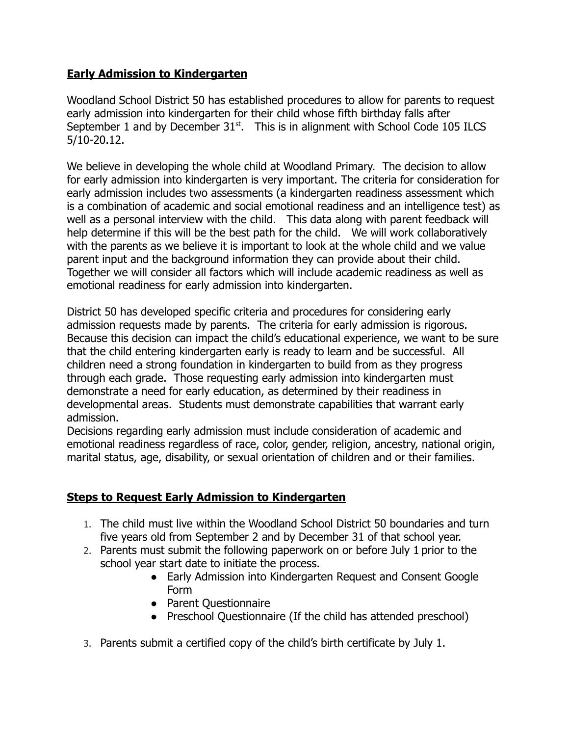# **Early Admission to Kindergarten**

Woodland School District 50 has established procedures to allow for parents to request early admission into kindergarten for their child whose fifth birthday falls after September 1 and by December  $31<sup>st</sup>$ . This is in alignment with School Code 105 ILCS 5/10-20.12.

We believe in developing the whole child at Woodland Primary. The decision to allow for early admission into kindergarten is very important. The criteria for consideration for early admission includes two assessments (a kindergarten readiness assessment which is a combination of academic and social emotional readiness and an intelligence test) as well as a personal interview with the child. This data along with parent feedback will help determine if this will be the best path for the child. We will work collaboratively with the parents as we believe it is important to look at the whole child and we value parent input and the background information they can provide about their child. Together we will consider all factors which will include academic readiness as well as emotional readiness for early admission into kindergarten.

District 50 has developed specific criteria and procedures for considering early admission requests made by parents. The criteria for early admission is rigorous. Because this decision can impact the child's educational experience, we want to be sure that the child entering kindergarten early is ready to learn and be successful. All children need a strong foundation in kindergarten to build from as they progress through each grade. Those requesting early admission into kindergarten must demonstrate a need for early education, as determined by their readiness in developmental areas. Students must demonstrate capabilities that warrant early admission.

Decisions regarding early admission must include consideration of academic and emotional readiness regardless of race, color, gender, religion, ancestry, national origin, marital status, age, disability, or sexual orientation of children and or their families.

# **Steps to Request Early Admission to Kindergarten**

- 1. The child must live within the Woodland School District 50 boundaries and turn five years old from September 2 and by December 31 of that school year.
- 2. Parents must submit the following paperwork on or before July 1 prior to the school year start date to initiate the process.
	- Early Admission into Kindergarten Request and Consent Google Form
	- Parent Questionnaire
	- Preschool Questionnaire (If the child has attended preschool)
- 3. Parents submit a certified copy of the child's birth certificate by July 1.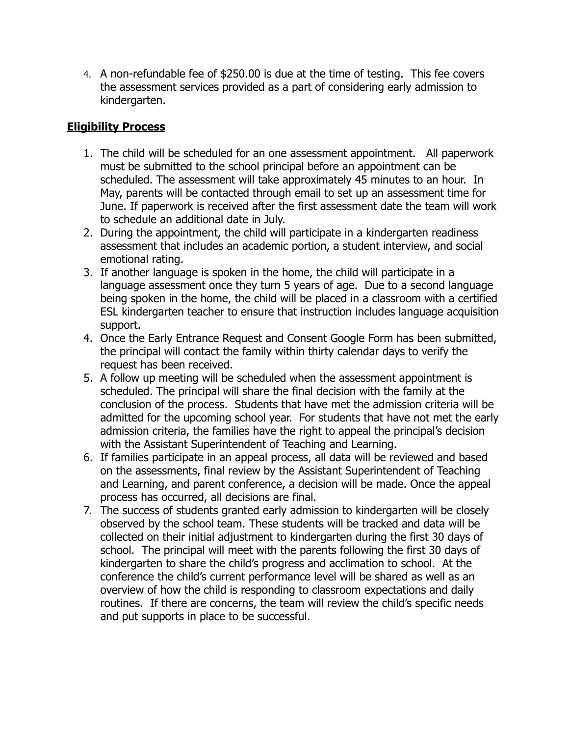4. A non-refundable fee of \$250.00 is due at the time of testing. This fee covers the assessment services provided as a part of considering early admission to kindergarten.

# **Eligibility Process**

- 1. The child will be scheduled for an one assessment appointment. All paperwork must be submitted to the school principal before an appointment can be scheduled. The assessment will take approximately 45 minutes to an hour. In May, parents will be contacted through email to set up an assessment time for June. If paperwork is received after the first assessment date the team will work to schedule an additional date in July.
- 2. During the appointment, the child will participate in a kindergarten readiness assessment that includes an academic portion, a student interview, and social emotional rating.
- 3. If another language is spoken in the home, the child will participate in a language assessment once they turn 5 years of age. Due to a second language being spoken in the home, the child will be placed in a classroom with a certified ESL kindergarten teacher to ensure that instruction includes language acquisition support.
- 4. Once the Early Entrance Request and Consent Google Form has been submitted, the principal will contact the family within thirty calendar days to verify the request has been received.
- 5. A follow up meeting will be scheduled when the assessment appointment is scheduled. The principal will share the final decision with the family at the conclusion of the process. Students that have met the admission criteria will be admitted for the upcoming school year. For students that have not met the early admission criteria, the families have the right to appeal the principal's decision with the Assistant Superintendent of Teaching and Learning.
- 6. If families participate in an appeal process, all data will be reviewed and based on the assessments, final review by the Assistant Superintendent of Teaching and Learning, and parent conference, a decision will be made. Once the appeal process has occurred, all decisions are final.
- 7. The success of students granted early admission to kindergarten will be closely observed by the school team. These students will be tracked and data will be collected on their initial adjustment to kindergarten during the first 30 days of school. The principal will meet with the parents following the first 30 days of kindergarten to share the child's progress and acclimation to school. At the conference the child's current performance level will be shared as well as an overview of how the child is responding to classroom expectations and daily routines. If there are concerns, the team will review the child's specific needs and put supports in place to be successful.